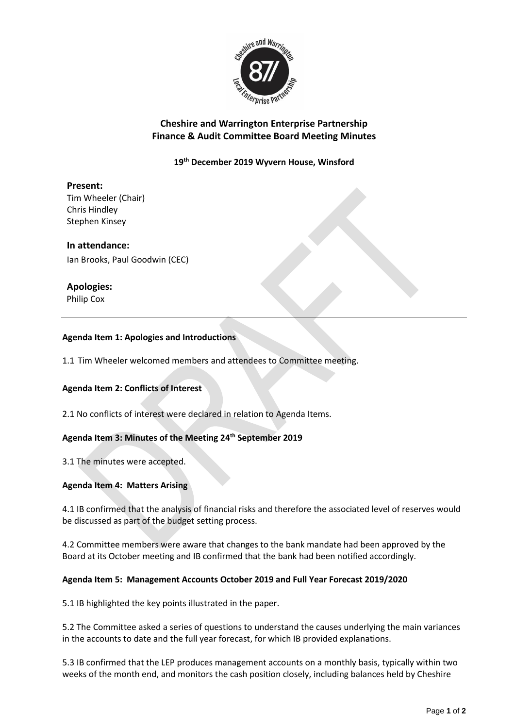

## **Cheshire and Warrington Enterprise Partnership Finance & Audit Committee Board Meeting Minutes**

**19th December 2019 Wyvern House, Winsford**

# **Present:**

Tim Wheeler (Chair) Chris Hindley Stephen Kinsey

### **In attendance:**

Ian Brooks, Paul Goodwin (CEC)

### **Apologies:**

Philip Cox

### **Agenda Item 1: Apologies and Introductions**

1.1 Tim Wheeler welcomed members and attendees to Committee meeting.

### **Agenda Item 2: Conflicts of Interest**

2.1 No conflicts of interest were declared in relation to Agenda Items.

### **Agenda Item 3: Minutes of the Meeting 24th September 2019**

3.1 The minutes were accepted.

### **Agenda Item 4: Matters Arising**

4.1 IB confirmed that the analysis of financial risks and therefore the associated level of reserves would be discussed as part of the budget setting process.

4.2 Committee members were aware that changes to the bank mandate had been approved by the Board at its October meeting and IB confirmed that the bank had been notified accordingly.

#### **Agenda Item 5: Management Accounts October 2019 and Full Year Forecast 2019/2020**

5.1 IB highlighted the key points illustrated in the paper.

5.2 The Committee asked a series of questions to understand the causes underlying the main variances in the accounts to date and the full year forecast, for which IB provided explanations.

5.3 IB confirmed that the LEP produces management accounts on a monthly basis, typically within two weeks of the month end, and monitors the cash position closely, including balances held by Cheshire